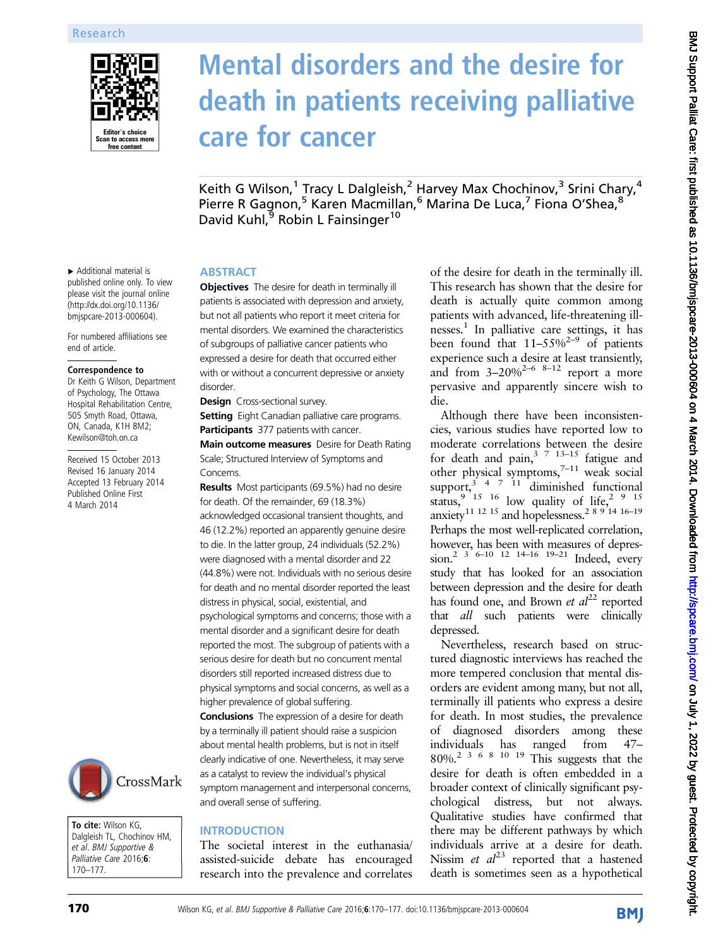

# Mental disorders and the desire for death in patients receiving palliative care for cancer

Keith G Wilson,<sup>1</sup> Tracy L Dalgleish,<sup>2</sup> Harvey Max Chochinov,<sup>3</sup> Srini Chary,<sup>4</sup> Pierre R Gagnon,<sup>5</sup> Karen Macmillan,<sup>6</sup> Marina De Luca,<sup>7</sup> Fiona O'Shea,<sup>8</sup> David Kuhl,<sup>9</sup> Robin L Fainsinger<sup>10</sup>

▸ Additional material is published online only. To view please visit the journal online (<http://dx.doi.org/>[10.1136/](10.1136/bmjspcare-2013-000604) [bmjspcare-2013-000604](10.1136/bmjspcare-2013-000604)).

For numbered affiliations see end of article.

#### Correspondence to

Dr Keith G Wilson, Department of Psychology, The Ottawa Hospital Rehabilitation Centre, 505 Smyth Road, Ottawa, ON, Canada, K1H 8M2; Kewilson@toh.on.ca

Received 15 October 2013 Revised 16 January 2014 Accepted 13 February 2014 Published Online First 4 March 2014



To cite: Wilson KG, Dalgleish TL, Chochinov HM, et al. BMJ Supportive & Palliative Care 2016;6: 170–177.

## **ABSTRACT**

Objectives The desire for death in terminally ill patients is associated with depression and anxiety, but not all patients who report it meet criteria for mental disorders. We examined the characteristics of subgroups of palliative cancer patients who expressed a desire for death that occurred either with or without a concurrent depressive or anxiety disorder.

Design Cross-sectional survey.

**Setting** Eight Canadian palliative care programs. Participants 377 patients with cancer. Main outcome measures Desire for Death Rating Scale; Structured Interview of Symptoms and

Concerns.

Results Most participants (69.5%) had no desire for death. Of the remainder, 69 (18.3%) acknowledged occasional transient thoughts, and 46 (12.2%) reported an apparently genuine desire to die. In the latter group, 24 individuals (52.2%) were diagnosed with a mental disorder and 22 (44.8%) were not. Individuals with no serious desire for death and no mental disorder reported the least distress in physical, social, existential, and psychological symptoms and concerns; those with a mental disorder and a significant desire for death reported the most. The subgroup of patients with a serious desire for death but no concurrent mental disorders still reported increased distress due to physical symptoms and social concerns, as well as a higher prevalence of global suffering.

**Conclusions** The expression of a desire for death by a terminally ill patient should raise a suspicion about mental health problems, but is not in itself clearly indicative of one. Nevertheless, it may serve as a catalyst to review the individual's physical symptom management and interpersonal concerns, and overall sense of suffering.

## **INTRODUCTION**

The societal interest in the euthanasia/ assisted-suicide debate has encouraged research into the prevalence and correlates of the desire for death in the terminally ill. This research has shown that the desire for death is actually quite common among patients with advanced, life-threatening illnesses.<sup>1</sup> In palliative care settings, it has been found that  $11-55\%^{2-9}$  of patients experience such a desire at least transiently, and from  $3-20\%^{2-6}$   $8-12$  report a more pervasive and apparently sincere wish to die.

Although there have been inconsistencies, various studies have reported low to moderate correlations between the desire for death and pain, $3 \times 13$ –15 fatigue and other physical symptoms,<sup>7-11</sup> weak social support,  $3 \times 4 \times 7 \times 11$  diminished functional status,<sup>9</sup> <sup>15</sup> <sup>16</sup> low quality of life,<sup>2</sup> <sup>9</sup> <sup>15</sup> anxiety<sup>11 12 15</sup> and hopelessness.<sup>2 8 9</sup> <sup>14 16–19</sup> Perhaps the most well-replicated correlation, however, has been with measures of depression.<sup>2</sup>  $3^{6}$ –10 12 14–16 19–21 Indeed, every study that has looked for an association between depression and the desire for death has found one, and Brown *et al*<sup>22</sup> reported that all such patients were clinically depressed.

Nevertheless, research based on structured diagnostic interviews has reached the more tempered conclusion that mental disorders are evident among many, but not all, terminally ill patients who express a desire for death. In most studies, the prevalence of diagnosed disorders among these individuals has ranged from 47–  $80\%$ <sup>2</sup> <sup>3 6 8</sup> <sup>10</sup> <sup>19</sup> This suggests that the desire for death is often embedded in a broader context of clinically significant psychological distress, but not always. Qualitative studies have confirmed that there may be different pathways by which individuals arrive at a desire for death. Nissim et  $al^{23}$  reported that a hastened death is sometimes seen as a hypothetical

**BMI**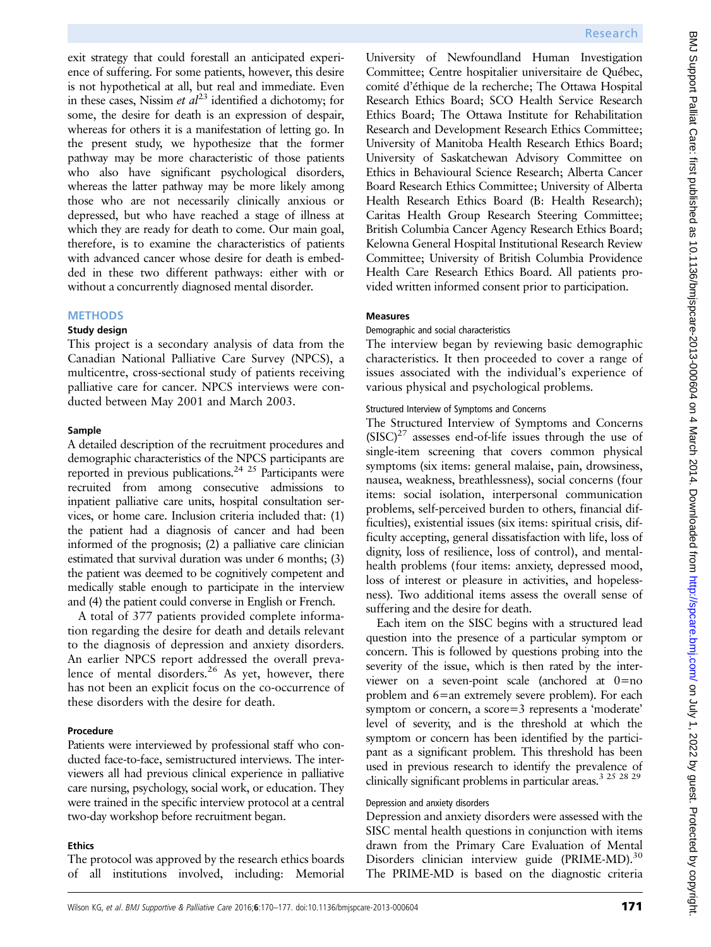exit strategy that could forestall an anticipated experience of suffering. For some patients, however, this desire is not hypothetical at all, but real and immediate. Even in these cases, Nissim et  $al^{23}$  identified a dichotomy; for some, the desire for death is an expression of despair, whereas for others it is a manifestation of letting go. In the present study, we hypothesize that the former pathway may be more characteristic of those patients who also have significant psychological disorders, whereas the latter pathway may be more likely among those who are not necessarily clinically anxious or depressed, but who have reached a stage of illness at which they are ready for death to come. Our main goal, therefore, is to examine the characteristics of patients with advanced cancer whose desire for death is embedded in these two different pathways: either with or without a concurrently diagnosed mental disorder.

#### **METHODS**

#### Study design

This project is a secondary analysis of data from the Canadian National Palliative Care Survey (NPCS), a multicentre, cross-sectional study of patients receiving palliative care for cancer. NPCS interviews were conducted between May 2001 and March 2003.

#### Sample

A detailed description of the recruitment procedures and demographic characteristics of the NPCS participants are reported in previous publications.24 25 Participants were recruited from among consecutive admissions to inpatient palliative care units, hospital consultation services, or home care. Inclusion criteria included that: (1) the patient had a diagnosis of cancer and had been informed of the prognosis; (2) a palliative care clinician estimated that survival duration was under 6 months; (3) the patient was deemed to be cognitively competent and medically stable enough to participate in the interview and (4) the patient could converse in English or French.

A total of 377 patients provided complete information regarding the desire for death and details relevant to the diagnosis of depression and anxiety disorders. An earlier NPCS report addressed the overall prevalence of mental disorders. $2^6$  As yet, however, there has not been an explicit focus on the co-occurrence of these disorders with the desire for death.

#### Procedure

Patients were interviewed by professional staff who conducted face-to-face, semistructured interviews. The interviewers all had previous clinical experience in palliative care nursing, psychology, social work, or education. They were trained in the specific interview protocol at a central two-day workshop before recruitment began.

#### Ethics

The protocol was approved by the research ethics boards of all institutions involved, including: Memorial

University of Newfoundland Human Investigation Committee; Centre hospitalier universitaire de Québec, comité d'éthique de la recherche; The Ottawa Hospital Research Ethics Board; SCO Health Service Research Ethics Board; The Ottawa Institute for Rehabilitation Research and Development Research Ethics Committee; University of Manitoba Health Research Ethics Board; University of Saskatchewan Advisory Committee on Ethics in Behavioural Science Research; Alberta Cancer Board Research Ethics Committee; University of Alberta Health Research Ethics Board (B: Health Research); Caritas Health Group Research Steering Committee; British Columbia Cancer Agency Research Ethics Board; Kelowna General Hospital Institutional Research Review Committee; University of British Columbia Providence Health Care Research Ethics Board. All patients provided written informed consent prior to participation.

#### Measures

#### Demographic and social characteristics

The interview began by reviewing basic demographic characteristics. It then proceeded to cover a range of issues associated with the individual's experience of various physical and psychological problems.

#### Structured Interview of Symptoms and Concerns

The Structured Interview of Symptoms and Concerns  $(SISC)^{27}$  assesses end-of-life issues through the use of single-item screening that covers common physical symptoms (six items: general malaise, pain, drowsiness, nausea, weakness, breathlessness), social concerns (four items: social isolation, interpersonal communication problems, self-perceived burden to others, financial difficulties), existential issues (six items: spiritual crisis, difficulty accepting, general dissatisfaction with life, loss of dignity, loss of resilience, loss of control), and mentalhealth problems (four items: anxiety, depressed mood, loss of interest or pleasure in activities, and hopelessness). Two additional items assess the overall sense of suffering and the desire for death.

Each item on the SISC begins with a structured lead question into the presence of a particular symptom or concern. This is followed by questions probing into the severity of the issue, which is then rated by the interviewer on a seven-point scale (anchored at 0=no problem and 6=an extremely severe problem). For each symptom or concern, a score=3 represents a 'moderate' level of severity, and is the threshold at which the symptom or concern has been identified by the participant as a significant problem. This threshold has been used in previous research to identify the prevalence of clinically significant problems in particular areas.3 25 28 29

#### Depression and anxiety disorders

Depression and anxiety disorders were assessed with the SISC mental health questions in conjunction with items drawn from the Primary Care Evaluation of Mental Disorders clinician interview guide (PRIME-MD).<sup>30</sup> The PRIME-MD is based on the diagnostic criteria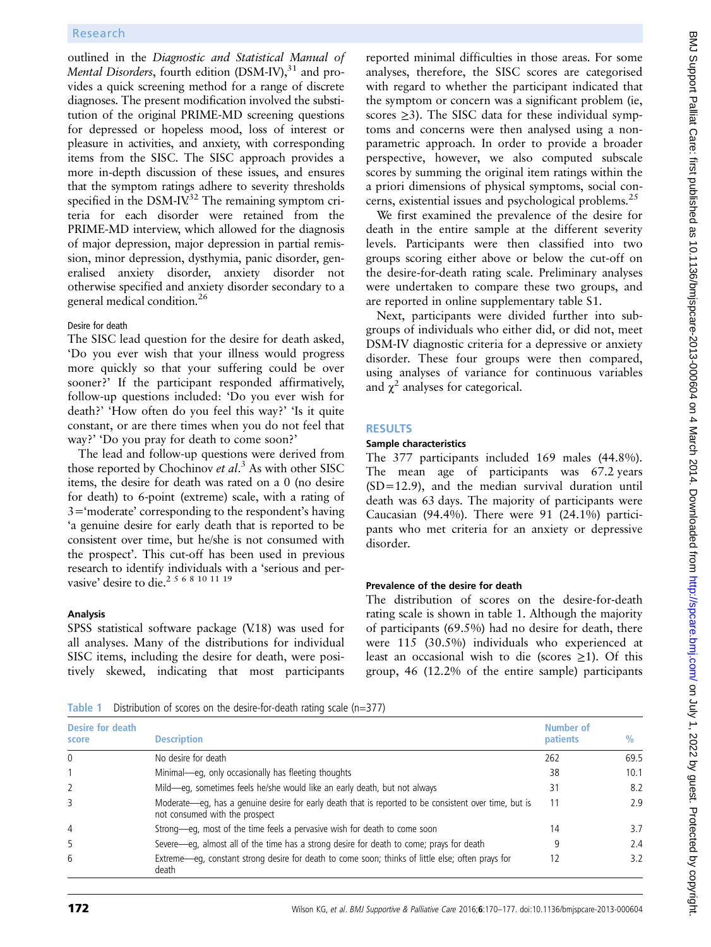outlined in the Diagnostic and Statistical Manual of *Mental Disorders, fourth edition (DSM-IV)*,  $31$  and provides a quick screening method for a range of discrete diagnoses. The present modification involved the substitution of the original PRIME-MD screening questions for depressed or hopeless mood, loss of interest or pleasure in activities, and anxiety, with corresponding items from the SISC. The SISC approach provides a more in-depth discussion of these issues, and ensures that the symptom ratings adhere to severity thresholds specified in the DSM-I $\overline{V}^{32}$  The remaining symptom criteria for each disorder were retained from the PRIME-MD interview, which allowed for the diagnosis of major depression, major depression in partial remission, minor depression, dysthymia, panic disorder, generalised anxiety disorder, anxiety disorder not otherwise specified and anxiety disorder secondary to a general medical condition.<sup>26</sup>

#### Desire for death

The SISC lead question for the desire for death asked, 'Do you ever wish that your illness would progress more quickly so that your suffering could be over sooner?' If the participant responded affirmatively, follow-up questions included: 'Do you ever wish for death?' 'How often do you feel this way?' 'Is it quite constant, or are there times when you do not feel that way?' 'Do you pray for death to come soon?'

The lead and follow-up questions were derived from those reported by Chochinov et al.<sup>3</sup> As with other SISC items, the desire for death was rated on a 0 (no desire for death) to 6-point (extreme) scale, with a rating of 3='moderate' corresponding to the respondent's having 'a genuine desire for early death that is reported to be consistent over time, but he/she is not consumed with the prospect'. This cut-off has been used in previous research to identify individuals with a 'serious and pervasive' desire to die.<sup>2 5 6 8 10 11 19</sup>

#### Analysis

SPSS statistical software package (V.18) was used for all analyses. Many of the distributions for individual SISC items, including the desire for death, were positively skewed, indicating that most participants

reported minimal difficulties in those areas. For some analyses, therefore, the SISC scores are categorised with regard to whether the participant indicated that the symptom or concern was a significant problem (ie, scores  $\geq$ 3). The SISC data for these individual symptoms and concerns were then analysed using a nonparametric approach. In order to provide a broader perspective, however, we also computed subscale scores by summing the original item ratings within the a priori dimensions of physical symptoms, social concerns, existential issues and psychological problems.<sup>25</sup>

We first examined the prevalence of the desire for death in the entire sample at the different severity levels. Participants were then classified into two groups scoring either above or below the cut-off on the desire-for-death rating scale. Preliminary analyses were undertaken to compare these two groups, and are reported in online supplementary table S1.

Next, participants were divided further into subgroups of individuals who either did, or did not, meet DSM-IV diagnostic criteria for a depressive or anxiety disorder. These four groups were then compared, using analyses of variance for continuous variables and  $\chi^2$  analyses for categorical.

#### **RESULTS**

#### Sample characteristics

The 377 participants included 169 males (44.8%). The mean age of participants was 67.2 years (SD=12.9), and the median survival duration until death was 63 days. The majority of participants were Caucasian (94.4%). There were 91 (24.1%) participants who met criteria for an anxiety or depressive disorder.

#### Prevalence of the desire for death

The distribution of scores on the desire-for-death rating scale is shown in table 1. Although the majority of participants (69.5%) had no desire for death, there were 115 (30.5%) individuals who experienced at least an occasional wish to die (scores  $\geq$ 1). Of this group, 46 (12.2% of the entire sample) participants

Table 1 Distribution of scores on the desire-for-death rating scale (n=377)

| Desire for death<br>score | <b>Description</b>                                                                                                                      | Number of<br><b>patients</b> | $\%$ |
|---------------------------|-----------------------------------------------------------------------------------------------------------------------------------------|------------------------------|------|
| $\mathbf{0}$              | No desire for death                                                                                                                     | 262                          | 69.5 |
|                           | Minimal—eg, only occasionally has fleeting thoughts                                                                                     | 38                           | 10.1 |
| $\overline{2}$            | Mild-eq, sometimes feels he/she would like an early death, but not always                                                               | 31                           | 8.2  |
| 3                         | Moderate—eg, has a genuine desire for early death that is reported to be consistent over time, but is<br>not consumed with the prospect | 11                           | 2.9  |
| 4                         | Strong—eg, most of the time feels a pervasive wish for death to come soon                                                               | 14                           | 3.7  |
| 5                         | Severe—eg, almost all of the time has a strong desire for death to come; prays for death                                                | 9                            | 2.4  |
| 6                         | Extreme—eq, constant strong desire for death to come soon; thinks of little else; often prays for<br>death                              | 12                           | 3.2  |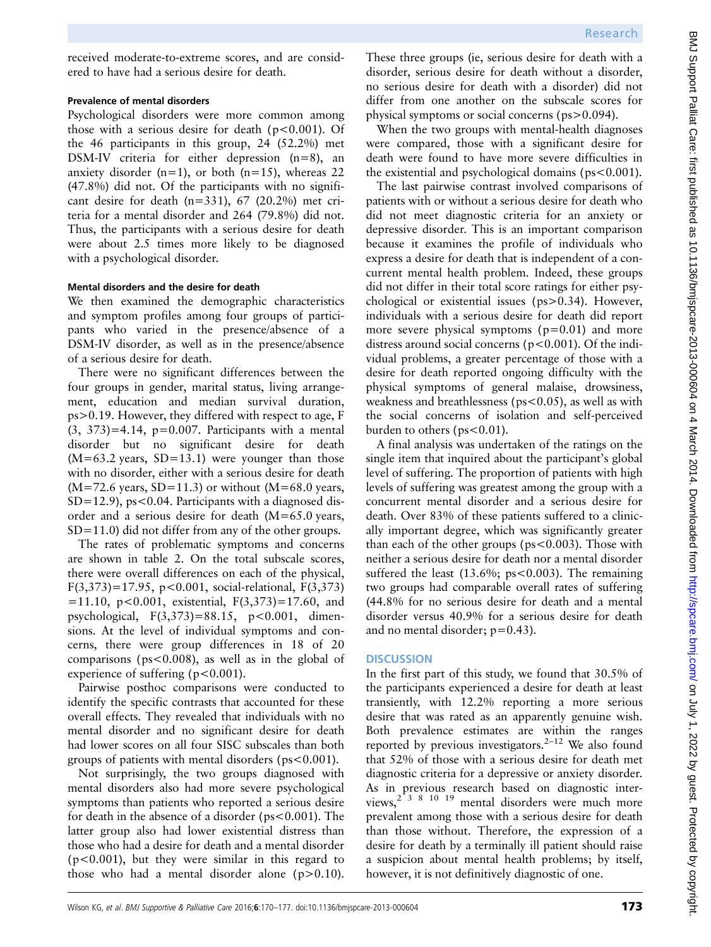received moderate-to-extreme scores, and are considered to have had a serious desire for death.

#### Prevalence of mental disorders

Psychological disorders were more common among those with a serious desire for death  $(p<0.001)$ . Of the 46 participants in this group, 24 (52.2%) met DSM-IV criteria for either depression  $(n=8)$ , an anxiety disorder (n=1), or both (n=15), whereas  $22$ (47.8%) did not. Of the participants with no significant desire for death (n=331), 67 (20.2%) met criteria for a mental disorder and 264 (79.8%) did not. Thus, the participants with a serious desire for death were about 2.5 times more likely to be diagnosed with a psychological disorder.

#### Mental disorders and the desire for death

We then examined the demographic characteristics and symptom profiles among four groups of participants who varied in the presence/absence of a DSM-IV disorder, as well as in the presence/absence of a serious desire for death.

There were no significant differences between the four groups in gender, marital status, living arrangement, education and median survival duration, ps>0.19. However, they differed with respect to age, F  $(3, 373)=4.14$ ,  $p=0.007$ . Participants with a mental disorder but no significant desire for death  $(M=63.2 \text{ years}, SD=13.1)$  were younger than those with no disorder, either with a serious desire for death  $(M=72.6 \text{ years}, SD=11.3)$  or without  $(M=68.0 \text{ years},$  $SD=12.9$ , ps $< 0.04$ . Participants with a diagnosed disorder and a serious desire for death (M=65.0 years,  $SD=11.0$ ) did not differ from any of the other groups.

The rates of problematic symptoms and concerns are shown in table 2. On the total subscale scores, there were overall differences on each of the physical, F(3,373)=17.95, p<0.001, social-relational, F(3,373)  $=11.10, p<0.001$ , existential, F(3,373)=17.60, and psychological, F(3,373)=88.15, p<0.001, dimensions. At the level of individual symptoms and concerns, there were group differences in 18 of 20 comparisons ( $ps < 0.008$ ), as well as in the global of experience of suffering ( $p < 0.001$ ).

Pairwise posthoc comparisons were conducted to identify the specific contrasts that accounted for these overall effects. They revealed that individuals with no mental disorder and no significant desire for death had lower scores on all four SISC subscales than both groups of patients with mental disorders (ps<0.001).

Not surprisingly, the two groups diagnosed with mental disorders also had more severe psychological symptoms than patients who reported a serious desire for death in the absence of a disorder ( $ps < 0.001$ ). The latter group also had lower existential distress than those who had a desire for death and a mental disorder (p<0.001), but they were similar in this regard to those who had a mental disorder alone  $(p>0.10)$ . These three groups (ie, serious desire for death with a disorder, serious desire for death without a disorder, no serious desire for death with a disorder) did not differ from one another on the subscale scores for physical symptoms or social concerns (ps>0.094).

When the two groups with mental-health diagnoses were compared, those with a significant desire for death were found to have more severe difficulties in the existential and psychological domains (ps<0.001).

The last pairwise contrast involved comparisons of patients with or without a serious desire for death who did not meet diagnostic criteria for an anxiety or depressive disorder. This is an important comparison because it examines the profile of individuals who express a desire for death that is independent of a concurrent mental health problem. Indeed, these groups did not differ in their total score ratings for either psychological or existential issues (ps>0.34). However, individuals with a serious desire for death did report more severe physical symptoms  $(p=0.01)$  and more distress around social concerns ( $p < 0.001$ ). Of the individual problems, a greater percentage of those with a desire for death reported ongoing difficulty with the physical symptoms of general malaise, drowsiness, weakness and breathlessness ( $ps < 0.05$ ), as well as with the social concerns of isolation and self-perceived burden to others (ps<0.01).

A final analysis was undertaken of the ratings on the single item that inquired about the participant's global level of suffering. The proportion of patients with high levels of suffering was greatest among the group with a concurrent mental disorder and a serious desire for death. Over 83% of these patients suffered to a clinically important degree, which was significantly greater than each of the other groups ( $ps < 0.003$ ). Those with neither a serious desire for death nor a mental disorder suffered the least  $(13.6\%; \text{ps} < 0.003)$ . The remaining two groups had comparable overall rates of suffering (44.8% for no serious desire for death and a mental disorder versus 40.9% for a serious desire for death and no mental disorder;  $p=0.43$ ).

## **DISCUSSION**

In the first part of this study, we found that 30.5% of the participants experienced a desire for death at least transiently, with 12.2% reporting a more serious desire that was rated as an apparently genuine wish. Both prevalence estimates are within the ranges reported by previous investigators. $2-12$  We also found that 52% of those with a serious desire for death met diagnostic criteria for a depressive or anxiety disorder. As in previous research based on diagnostic interviews,  $2^{2}$ <sup>3 8 10 19</sup> mental disorders were much more prevalent among those with a serious desire for death than those without. Therefore, the expression of a desire for death by a terminally ill patient should raise a suspicion about mental health problems; by itself, however, it is not definitively diagnostic of one.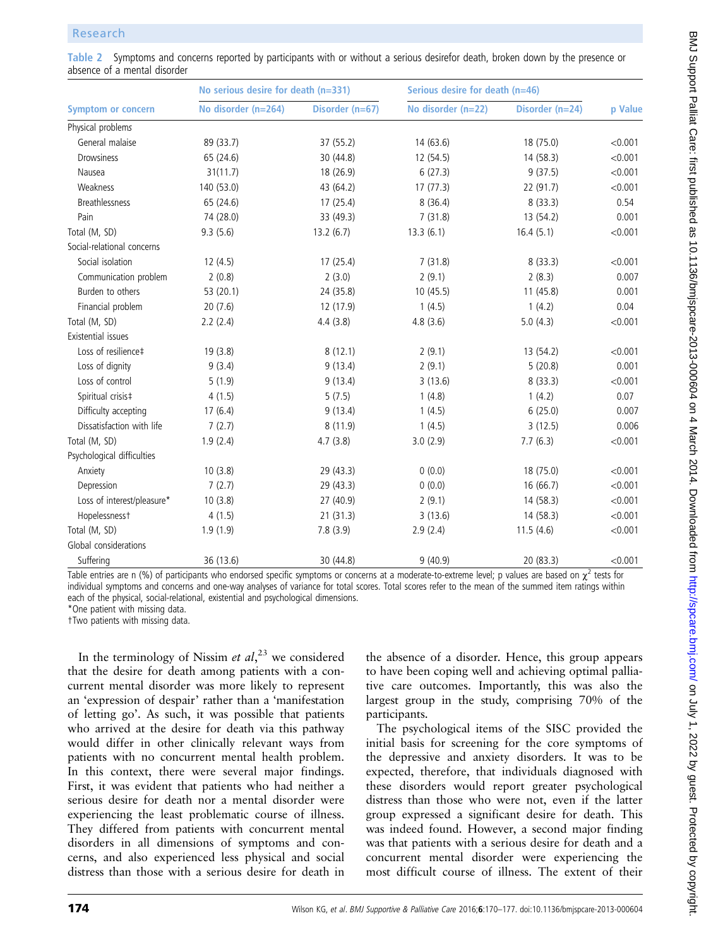|                              | Table 2 Symptoms and concerns reported by participants with or without a serious desirefor death, broken down by the presence or |  |  |  |  |  |  |  |
|------------------------------|----------------------------------------------------------------------------------------------------------------------------------|--|--|--|--|--|--|--|
| absence of a mental disorder |                                                                                                                                  |  |  |  |  |  |  |  |

|                            | No serious desire for death (n=331) |                 | Serious desire for death (n=46) |                 |         |  |
|----------------------------|-------------------------------------|-----------------|---------------------------------|-----------------|---------|--|
| <b>Symptom or concern</b>  | No disorder (n=264)                 | Disorder (n=67) | No disorder (n=22)              | Disorder (n=24) | p Value |  |
| Physical problems          |                                     |                 |                                 |                 |         |  |
| General malaise            | 89 (33.7)                           | 37 (55.2)       | 14 (63.6)                       | 18 (75.0)       | < 0.001 |  |
| <b>Drowsiness</b>          | 65 (24.6)                           | 30 (44.8)       | 12 (54.5)                       | 14 (58.3)       | < 0.001 |  |
| Nausea                     | 31(11.7)                            | 18 (26.9)       | 6(27.3)                         | 9(37.5)         | < 0.001 |  |
| Weakness                   | 140 (53.0)                          | 43 (64.2)       | 17(77.3)                        | 22 (91.7)       | < 0.001 |  |
| <b>Breathlessness</b>      | 65 (24.6)                           | 17(25.4)        | 8(36.4)                         | 8(33.3)         | 0.54    |  |
| Pain                       | 74 (28.0)                           | 33 (49.3)       | 7(31.8)                         | 13 (54.2)       | 0.001   |  |
| Total (M, SD)              | 9.3(5.6)                            | 13.2(6.7)       | 13.3(6.1)                       | 16.4(5.1)       | < 0.001 |  |
| Social-relational concerns |                                     |                 |                                 |                 |         |  |
| Social isolation           | 12(4.5)                             | 17(25.4)        | 7(31.8)                         | 8(33.3)         | < 0.001 |  |
| Communication problem      | 2(0.8)                              | 2(3.0)          | 2(9.1)                          | 2(8.3)          | 0.007   |  |
| Burden to others           | 53 (20.1)                           | 24 (35.8)       | 10 (45.5)                       | 11(45.8)        | 0.001   |  |
| Financial problem          | 20(7.6)                             | 12 (17.9)       | 1(4.5)                          | 1(4.2)          | 0.04    |  |
| Total (M, SD)              | 2.2(2.4)                            | 4.4(3.8)        | 4.8(3.6)                        | 5.0(4.3)        | < 0.001 |  |
| Existential issues         |                                     |                 |                                 |                 |         |  |
| Loss of resilience‡        | 19(3.8)                             | 8(12.1)         | 2(9.1)                          | 13 (54.2)       | < 0.001 |  |
| Loss of dignity            | 9(3.4)                              | 9(13.4)         | 2(9.1)                          | 5(20.8)         | 0.001   |  |
| Loss of control            | 5(1.9)                              | 9(13.4)         | 3(13.6)                         | 8(33.3)         | < 0.001 |  |
| Spiritual crisis‡          | 4(1.5)                              | 5(7.5)          | 1(4.8)                          | 1(4.2)          | 0.07    |  |
| Difficulty accepting       | 17(6.4)                             | 9(13.4)         | 1(4.5)                          | 6(25.0)         | 0.007   |  |
| Dissatisfaction with life  | 7(2.7)                              | 8 (11.9)        | 1(4.5)                          | 3(12.5)         | 0.006   |  |
| Total (M, SD)              | 1.9(2.4)                            | 4.7(3.8)        | 3.0(2.9)                        | 7.7(6.3)        | < 0.001 |  |
| Psychological difficulties |                                     |                 |                                 |                 |         |  |
| Anxiety                    | 10(3.8)                             | 29 (43.3)       | 0(0.0)                          | 18 (75.0)       | < 0.001 |  |
| Depression                 | 7(2.7)                              | 29 (43.3)       | 0(0.0)                          | 16 (66.7)       | < 0.001 |  |
| Loss of interest/pleasure* | 10(3.8)                             | 27 (40.9)       | 2(9.1)                          | 14 (58.3)       | < 0.001 |  |
| Hopelessness <sup>+</sup>  | 4(1.5)                              | 21 (31.3)       | 3(13.6)                         | 14 (58.3)       | < 0.001 |  |
| Total (M, SD)              | 1.9(1.9)                            | 7.8(3.9)        | 2.9(2.4)                        | 11.5(4.6)       | < 0.001 |  |
| Global considerations      |                                     |                 |                                 |                 |         |  |
| Suffering                  | 36 (13.6)                           | 30 (44.8)       | 9(40.9)                         | 20 (83.3)       | < 0.001 |  |

Table entries are n (%) of participants who endorsed specific symptoms or concerns at a moderate-to-extreme level; p values are based on  $\chi^2$  tests for individual symptoms and concerns and one-way analyses of variance for total scores. Total scores refer to the mean of the summed item ratings within each of the physical, social-relational, existential and psychological dimensions.

\*One patient with missing data.

†Two patients with missing data.

In the terminology of Nissim *et al*,<sup>23</sup> we considered that the desire for death among patients with a concurrent mental disorder was more likely to represent an 'expression of despair' rather than a 'manifestation of letting go'. As such, it was possible that patients who arrived at the desire for death via this pathway would differ in other clinically relevant ways from patients with no concurrent mental health problem. In this context, there were several major findings. First, it was evident that patients who had neither a serious desire for death nor a mental disorder were experiencing the least problematic course of illness. They differed from patients with concurrent mental disorders in all dimensions of symptoms and concerns, and also experienced less physical and social distress than those with a serious desire for death in

the absence of a disorder. Hence, this group appears to have been coping well and achieving optimal palliative care outcomes. Importantly, this was also the largest group in the study, comprising 70% of the participants.

The psychological items of the SISC provided the initial basis for screening for the core symptoms of the depressive and anxiety disorders. It was to be expected, therefore, that individuals diagnosed with these disorders would report greater psychological distress than those who were not, even if the latter group expressed a significant desire for death. This was indeed found. However, a second major finding was that patients with a serious desire for death and a concurrent mental disorder were experiencing the most difficult course of illness. The extent of their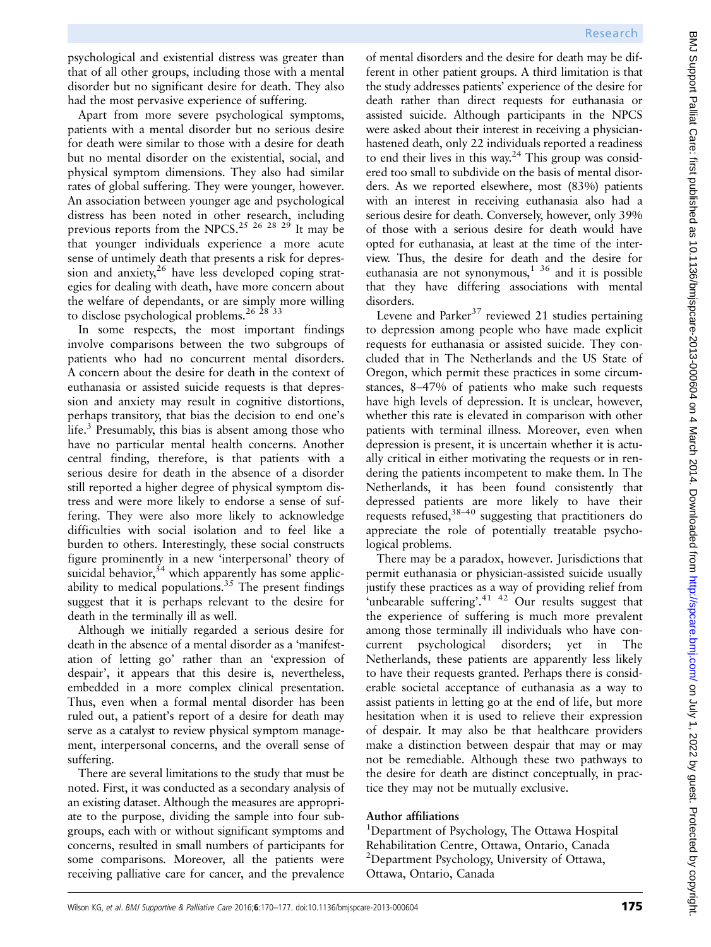psychological and existential distress was greater than that of all other groups, including those with a mental disorder but no significant desire for death. They also had the most pervasive experience of suffering.

Apart from more severe psychological symptoms, patients with a mental disorder but no serious desire for death were similar to those with a desire for death but no mental disorder on the existential, social, and physical symptom dimensions. They also had similar rates of global suffering. They were younger, however. An association between younger age and psychological distress has been noted in other research, including previous reports from the NPCS.<sup>25 26 28 29</sup> It may be that younger individuals experience a more acute sense of untimely death that presents a risk for depression and anxiety, $2^6$  have less developed coping strategies for dealing with death, have more concern about the welfare of dependants, or are simply more willing to disclose psychological problems.<sup>26 28 33</sup>

In some respects, the most important findings involve comparisons between the two subgroups of patients who had no concurrent mental disorders. A concern about the desire for death in the context of euthanasia or assisted suicide requests is that depression and anxiety may result in cognitive distortions, perhaps transitory, that bias the decision to end one's life.<sup>3</sup> Presumably, this bias is absent among those who have no particular mental health concerns. Another central finding, therefore, is that patients with a serious desire for death in the absence of a disorder still reported a higher degree of physical symptom distress and were more likely to endorse a sense of suffering. They were also more likely to acknowledge difficulties with social isolation and to feel like a burden to others. Interestingly, these social constructs figure prominently in a new 'interpersonal' theory of suicidal behavior,  $34$  which apparently has some applicability to medical populations. $35$  The present findings suggest that it is perhaps relevant to the desire for death in the terminally ill as well.

Although we initially regarded a serious desire for death in the absence of a mental disorder as a 'manifestation of letting go' rather than an 'expression of despair', it appears that this desire is, nevertheless, embedded in a more complex clinical presentation. Thus, even when a formal mental disorder has been ruled out, a patient's report of a desire for death may serve as a catalyst to review physical symptom management, interpersonal concerns, and the overall sense of suffering.

There are several limitations to the study that must be noted. First, it was conducted as a secondary analysis of an existing dataset. Although the measures are appropriate to the purpose, dividing the sample into four subgroups, each with or without significant symptoms and concerns, resulted in small numbers of participants for some comparisons. Moreover, all the patients were receiving palliative care for cancer, and the prevalence

of mental disorders and the desire for death may be different in other patient groups. A third limitation is that the study addresses patients' experience of the desire for death rather than direct requests for euthanasia or assisted suicide. Although participants in the NPCS were asked about their interest in receiving a physicianhastened death, only 22 individuals reported a readiness to end their lives in this way. $24$  This group was considered too small to subdivide on the basis of mental disorders. As we reported elsewhere, most (83%) patients with an interest in receiving euthanasia also had a serious desire for death. Conversely, however, only 39% of those with a serious desire for death would have opted for euthanasia, at least at the time of the interview. Thus, the desire for death and the desire for euthanasia are not synonymous, $1^{36}$  and it is possible that they have differing associations with mental disorders.

Levene and Parker $37$  reviewed 21 studies pertaining to depression among people who have made explicit requests for euthanasia or assisted suicide. They concluded that in The Netherlands and the US State of Oregon, which permit these practices in some circumstances, 8–47% of patients who make such requests have high levels of depression. It is unclear, however, whether this rate is elevated in comparison with other patients with terminal illness. Moreover, even when depression is present, it is uncertain whether it is actually critical in either motivating the requests or in rendering the patients incompetent to make them. In The Netherlands, it has been found consistently that depressed patients are more likely to have their requests refused,  $38-40$  suggesting that practitioners do appreciate the role of potentially treatable psychological problems.

There may be a paradox, however. Jurisdictions that permit euthanasia or physician-assisted suicide usually justify these practices as a way of providing relief from 'unbearable suffering'.<sup>41 42</sup> Our results suggest that the experience of suffering is much more prevalent among those terminally ill individuals who have concurrent psychological disorders; yet in The Netherlands, these patients are apparently less likely to have their requests granted. Perhaps there is considerable societal acceptance of euthanasia as a way to assist patients in letting go at the end of life, but more hesitation when it is used to relieve their expression of despair. It may also be that healthcare providers make a distinction between despair that may or may not be remediable. Although these two pathways to the desire for death are distinct conceptually, in practice they may not be mutually exclusive.

## Author affiliations

<sup>1</sup>Department of Psychology, The Ottawa Hospital Rehabilitation Centre, Ottawa, Ontario, Canada 2 Department Psychology, University of Ottawa, Ottawa, Ontario, Canada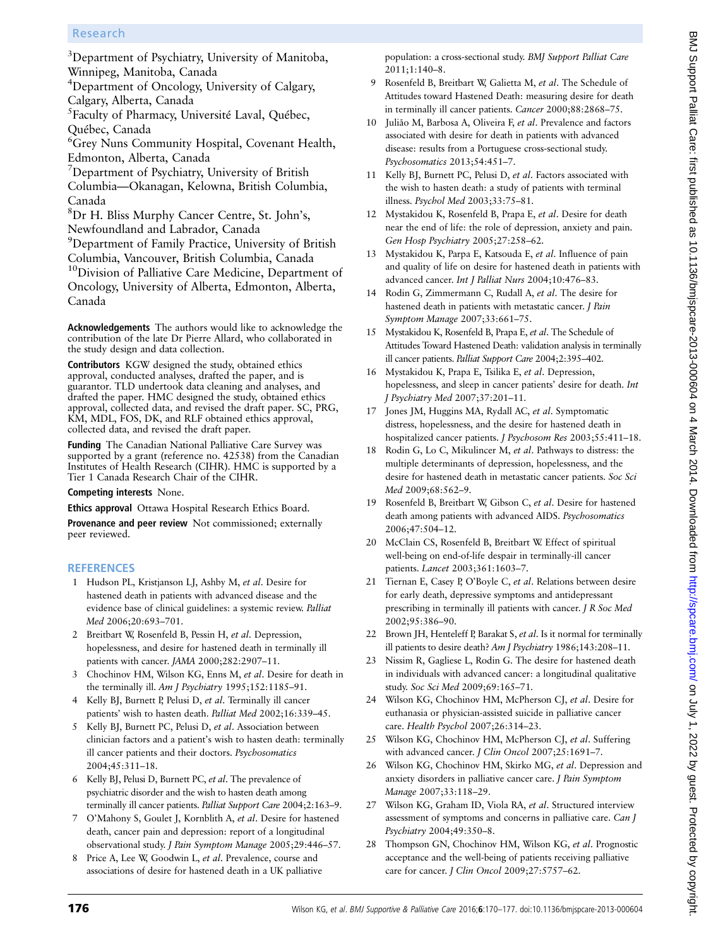## Research

<sup>3</sup>Department of Psychiatry, University of Manitoba, Winnipeg, Manitoba, Canada

4 Department of Oncology, University of Calgary, Calgary, Alberta, Canada

<sup>5</sup>Faculty of Pharmacy, Université Laval, Québec, Québec, Canada

6 Grey Nuns Community Hospital, Covenant Health, Edmonton, Alberta, Canada

<sup>7</sup>Department of Psychiatry, University of British Columbia—Okanagan, Kelowna, British Columbia, Canada

8 Dr H. Bliss Murphy Cancer Centre, St. John's, Newfoundland and Labrador, Canada

<sup>9</sup>Department of Family Practice, University of British Columbia, Vancouver, British Columbia, Canada <sup>10</sup>Division of Palliative Care Medicine, Department of Oncology, University of Alberta, Edmonton, Alberta, Canada

Acknowledgements The authors would like to acknowledge the contribution of the late Dr Pierre Allard, who collaborated in the study design and data collection.

Contributors KGW designed the study, obtained ethics approval, conducted analyses, drafted the paper, and is guarantor. TLD undertook data cleaning and analyses, and drafted the paper. HMC designed the study, obtained ethics approval, collected data, and revised the draft paper. SC, PRG, KM, MDL, FOS, DK, and RLF obtained ethics approval, collected data, and revised the draft paper.

Funding The Canadian National Palliative Care Survey was supported by a grant (reference no. 42538) from the Canadian Institutes of Health Research (CIHR). HMC is supported by a Tier 1 Canada Research Chair of the CIHR.

Competing interests None.

Ethics approval Ottawa Hospital Research Ethics Board.

Provenance and peer review Not commissioned; externally peer reviewed.

#### **REFERENCES**

- 1 Hudson PL, Kristjanson LJ, Ashby M, et al. Desire for hastened death in patients with advanced disease and the evidence base of clinical guidelines: a systemic review. Palliat Med 2006;20:693–701.
- 2 Breitbart W, Rosenfeld B, Pessin H, et al. Depression, hopelessness, and desire for hastened death in terminally ill patients with cancer. JAMA 2000;282:2907–11.
- 3 Chochinov HM, Wilson KG, Enns M, et al. Desire for death in the terminally ill. Am J Psychiatry 1995;152:1185-91.
- 4 Kelly BJ, Burnett P, Pelusi D, et al. Terminally ill cancer patients' wish to hasten death. Palliat Med 2002;16:339–45.
- 5 Kelly BJ, Burnett PC, Pelusi D, et al. Association between clinician factors and a patient's wish to hasten death: terminally ill cancer patients and their doctors. Psychosomatics 2004;45:311–18.
- 6 Kelly BJ, Pelusi D, Burnett PC, et al. The prevalence of psychiatric disorder and the wish to hasten death among terminally ill cancer patients. Palliat Support Care 2004;2:163-9.
- 7 O'Mahony S, Goulet J, Kornblith A, et al. Desire for hastened death, cancer pain and depression: report of a longitudinal observational study. J Pain Symptom Manage 2005;29:446–57.
- 8 Price A, Lee W, Goodwin L, et al. Prevalence, course and associations of desire for hastened death in a UK palliative

population: a cross-sectional study. BMJ Support Palliat Care 2011;1:140–8.

- 9 Rosenfeld B, Breitbart W, Galietta M, et al. The Schedule of Attitudes toward Hastened Death: measuring desire for death in terminally ill cancer patients. Cancer 2000;88:2868–75.
- 10 Julião M, Barbosa A, Oliveira F, et al. Prevalence and factors associated with desire for death in patients with advanced disease: results from a Portuguese cross-sectional study. Psychosomatics 2013;54:451–7.
- 11 Kelly BJ, Burnett PC, Pelusi D, et al. Factors associated with the wish to hasten death: a study of patients with terminal illness. Psychol Med 2003;33:75–81.
- 12 Mystakidou K, Rosenfeld B, Prapa E, et al. Desire for death near the end of life: the role of depression, anxiety and pain. Gen Hosp Psychiatry 2005;27:258–62.
- 13 Mystakidou K, Parpa E, Katsouda E, et al. Influence of pain and quality of life on desire for hastened death in patients with advanced cancer. Int J Palliat Nurs 2004;10:476–83.
- 14 Rodin G, Zimmermann C, Rudall A, et al. The desire for hastened death in patients with metastatic cancer. *J Pain* Symptom Manage 2007;33:661–75.
- 15 Mystakidou K, Rosenfeld B, Prapa E, et al. The Schedule of Attitudes Toward Hastened Death: validation analysis in terminally ill cancer patients. Palliat Support Care 2004;2:395–402.
- 16 Mystakidou K, Prapa E, Tsilika E, et al. Depression, hopelessness, and sleep in cancer patients' desire for death. Int J Psychiatry Med 2007;37:201–11.
- 17 Jones JM, Huggins MA, Rydall AC, et al. Symptomatic distress, hopelessness, and the desire for hastened death in hospitalized cancer patients. J Psychosom Res 2003;55:411-18.
- 18 Rodin G, Lo C, Mikulincer M, et al. Pathways to distress: the multiple determinants of depression, hopelessness, and the desire for hastened death in metastatic cancer patients. Soc Sci Med 2009;68:562–9.
- 19 Rosenfeld B, Breitbart W, Gibson C, et al. Desire for hastened death among patients with advanced AIDS. Psychosomatics 2006;47:504–12.
- 20 McClain CS, Rosenfeld B, Breitbart W. Effect of spiritual well-being on end-of-life despair in terminally-ill cancer patients. Lancet 2003;361:1603–7.
- 21 Tiernan E, Casey P, O'Boyle C, et al. Relations between desire for early death, depressive symptoms and antidepressant prescribing in terminally ill patients with cancer. J R Soc Med 2002;95:386–90.
- 22 Brown JH, Henteleff P, Barakat S, et al. Is it normal for terminally ill patients to desire death? Am J Psychiatry 1986;143:208–11.
- 23 Nissim R, Gagliese L, Rodin G. The desire for hastened death in individuals with advanced cancer: a longitudinal qualitative study. Soc Sci Med 2009;69:165–71.
- 24 Wilson KG, Chochinov HM, McPherson CJ, et al. Desire for euthanasia or physician-assisted suicide in palliative cancer care. Health Psychol 2007;26:314–23.
- 25 Wilson KG, Chochinov HM, McPherson CJ, et al. Suffering with advanced cancer. J Clin Oncol 2007;25:1691-7.
- 26 Wilson KG, Chochinov HM, Skirko MG, et al. Depression and anxiety disorders in palliative cancer care. *J Pain Symptom* Manage 2007;33:118–29.
- 27 Wilson KG, Graham ID, Viola RA, et al. Structured interview assessment of symptoms and concerns in palliative care. Can J Psychiatry 2004;49:350–8.
- 28 Thompson GN, Chochinov HM, Wilson KG, et al. Prognostic acceptance and the well-being of patients receiving palliative care for cancer. J Clin Oncol 2009;27:5757-62.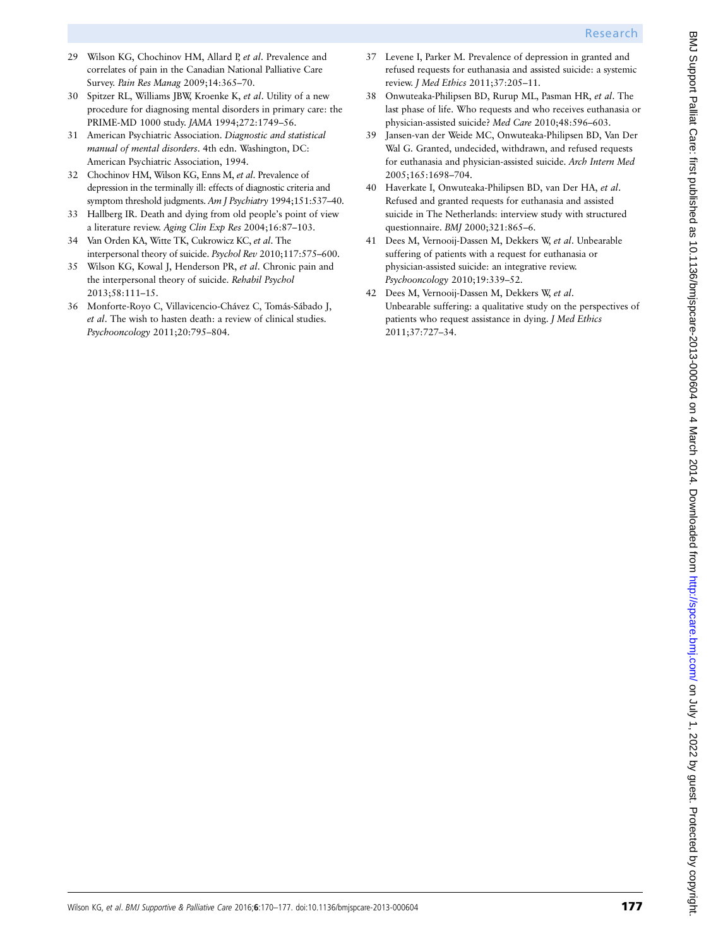- 29 Wilson KG, Chochinov HM, Allard P, et al. Prevalence and correlates of pain in the Canadian National Palliative Care Survey. Pain Res Manag 2009;14:365–70.
- 30 Spitzer RL, Williams JBW, Kroenke K, et al. Utility of a new procedure for diagnosing mental disorders in primary care: the PRIME-MD 1000 study. JAMA 1994;272:1749–56.
- 31 American Psychiatric Association. Diagnostic and statistical manual of mental disorders. 4th edn. Washington, DC: American Psychiatric Association, 1994.
- 32 Chochinov HM, Wilson KG, Enns M, et al. Prevalence of depression in the terminally ill: effects of diagnostic criteria and symptom threshold judgments. Am J Psychiatry 1994;151:537-40.
- 33 Hallberg IR. Death and dying from old people's point of view a literature review. Aging Clin Exp Res 2004;16:87–103.
- 34 Van Orden KA, Witte TK, Cukrowicz KC, et al. The interpersonal theory of suicide. Psychol Rev 2010;117:575–600.
- 35 Wilson KG, Kowal J, Henderson PR, et al. Chronic pain and the interpersonal theory of suicide. Rehabil Psychol 2013;58:111–15.
- 36 Monforte-Royo C, Villavicencio-Chávez C, Tomás-Sábado J, et al. The wish to hasten death: a review of clinical studies. Psychooncology 2011;20:795–804.
- 37 Levene I, Parker M. Prevalence of depression in granted and refused requests for euthanasia and assisted suicide: a systemic review. J Med Ethics 2011;37:205–11.
- 38 Onwuteaka-Philipsen BD, Rurup ML, Pasman HR, et al. The last phase of life. Who requests and who receives euthanasia or physician-assisted suicide? Med Care 2010;48:596–603.
- 39 Jansen-van der Weide MC, Onwuteaka-Philipsen BD, Van Der Wal G. Granted, undecided, withdrawn, and refused requests for euthanasia and physician-assisted suicide. Arch Intern Med 2005;165:1698–704.
- 40 Haverkate I, Onwuteaka-Philipsen BD, van Der HA, et al. Refused and granted requests for euthanasia and assisted suicide in The Netherlands: interview study with structured questionnaire. BMJ 2000;321:865–6.
- 41 Dees M, Vernooij-Dassen M, Dekkers W, et al. Unbearable suffering of patients with a request for euthanasia or physician-assisted suicide: an integrative review. Psychooncology 2010;19:339–52.
- 42 Dees M, Vernooij-Dassen M, Dekkers W, et al. Unbearable suffering: a qualitative study on the perspectives of patients who request assistance in dying. J Med Ethics 2011;37:727–34.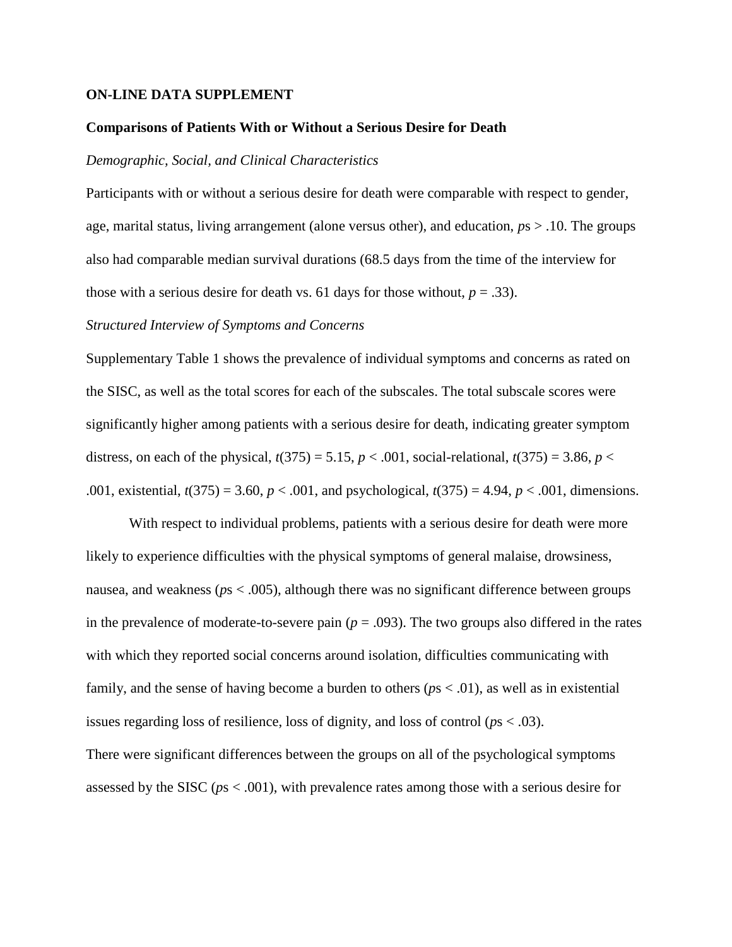## **ON-LINE DATA SUPPLEMENT**

## **Comparisons of Patients With or Without a Serious Desire for Death**

## *Demographic, Social, and Clinical Characteristics*

Participants with or without a serious desire for death were comparable with respect to gender, age, marital status, living arrangement (alone versus other), and education, *p*s > .10. The groups also had comparable median survival durations (68.5 days from the time of the interview for those with a serious desire for death vs. 61 days for those without,  $p = .33$ ).

## *Structured Interview of Symptoms and Concerns*

Supplementary Table 1 shows the prevalence of individual symptoms and concerns as rated on the SISC, as well as the total scores for each of the subscales. The total subscale scores were significantly higher among patients with a serious desire for death, indicating greater symptom distress, on each of the physical,  $t(375) = 5.15$ ,  $p < .001$ , social-relational,  $t(375) = 3.86$ ,  $p <$ .001, existential, *t*(375) = 3.60, *p* < .001, and psychological, *t*(375) = 4.94, *p* < .001, dimensions.

With respect to individual problems, patients with a serious desire for death were more likely to experience difficulties with the physical symptoms of general malaise, drowsiness, nausea, and weakness (*p*s < .005), although there was no significant difference between groups in the prevalence of moderate-to-severe pain  $(p = .093)$ . The two groups also differed in the rates with which they reported social concerns around isolation, difficulties communicating with family, and the sense of having become a burden to others ( $ps < .01$ ), as well as in existential issues regarding loss of resilience, loss of dignity, and loss of control (*p*s < .03).

There were significant differences between the groups on all of the psychological symptoms assessed by the SISC (*p*s < .001), with prevalence rates among those with a serious desire for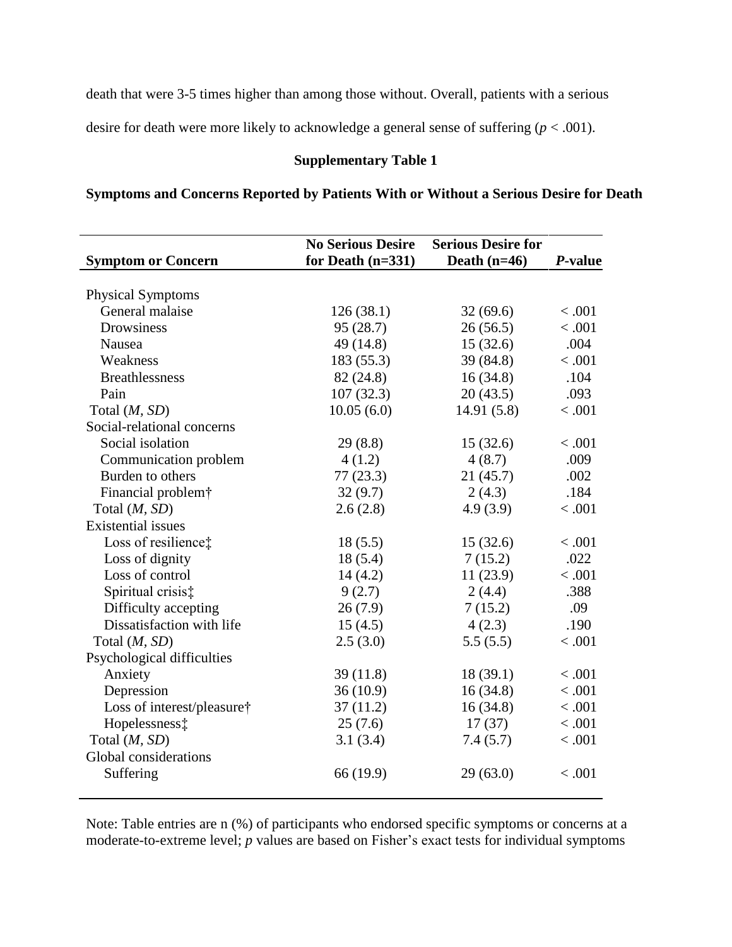death that were 3-5 times higher than among those without. Overall, patients with a serious

desire for death were more likely to acknowledge a general sense of suffering (*p* < .001).

# **Supplementary Table 1**

## **Symptoms and Concerns Reported by Patients With or Without a Serious Desire for Death**

|                                | <b>No Serious Desire</b> | <b>Serious Desire for</b> |         |
|--------------------------------|--------------------------|---------------------------|---------|
| <b>Symptom or Concern</b>      | for Death $(n=331)$      | Death $(n=46)$            | P-value |
|                                |                          |                           |         |
| Physical Symptoms              |                          |                           |         |
| General malaise                | 126(38.1)                | 32(69.6)                  | < .001  |
| <b>Drowsiness</b>              | 95(28.7)                 | 26(56.5)                  | < .001  |
| Nausea                         | 49 (14.8)                | 15(32.6)                  | .004    |
| Weakness                       | 183 (55.3)               | 39(84.8)                  | < .001  |
| <b>Breathlessness</b>          | 82(24.8)                 | 16(34.8)                  | .104    |
| Pain                           | 107(32.3)                | 20(43.5)                  | .093    |
| Total (M, SD)                  | 10.05(6.0)               | 14.91(5.8)                | < .001  |
| Social-relational concerns     |                          |                           |         |
| Social isolation               | 29(8.8)                  | 15(32.6)                  | < .001  |
| Communication problem          | 4(1.2)                   | 4(8.7)                    | .009    |
| Burden to others               | 77(23.3)                 | 21(45.7)                  | .002    |
| Financial problem <sup>†</sup> | 32(9.7)                  | 2(4.3)                    | .184    |
| Total $(M, SD)$                | 2.6(2.8)                 | 4.9(3.9)                  | < .001  |
| <b>Existential</b> issues      |                          |                           |         |
| Loss of resilience:            | 18(5.5)                  | 15(32.6)                  | < .001  |
| Loss of dignity                | 18(5.4)                  | 7(15.2)                   | .022    |
| Loss of control                | 14(4.2)                  | 11(23.9)                  | < .001  |
| Spiritual crisis‡              | 9(2.7)                   | 2(4.4)                    | .388    |
| Difficulty accepting           | 26(7.9)                  | 7(15.2)                   | .09     |
| Dissatisfaction with life      | 15(4.5)                  | 4(2.3)                    | .190    |
| Total $(M, SD)$                | 2.5(3.0)                 | 5.5(5.5)                  | < .001  |
| Psychological difficulties     |                          |                           |         |
| Anxiety                        | 39(11.8)                 | 18(39.1)                  | < .001  |
| Depression                     | 36(10.9)                 | 16(34.8)                  | < .001  |
| Loss of interest/pleasure†     | 37(11.2)                 | 16(34.8)                  | < .001  |
| Hopelessness <sup>+</sup>      | 25(7.6)                  | 17(37)                    | < .001  |
| Total (M, SD)                  | 3.1(3.4)                 | 7.4(5.7)                  | < .001  |
| Global considerations          |                          |                           |         |
| Suffering                      | 66 (19.9)                | 29(63.0)                  | $<.001$ |

Note: Table entries are n (%) of participants who endorsed specific symptoms or concerns at a moderate-to-extreme level; *p* values are based on Fisher's exact tests for individual symptoms